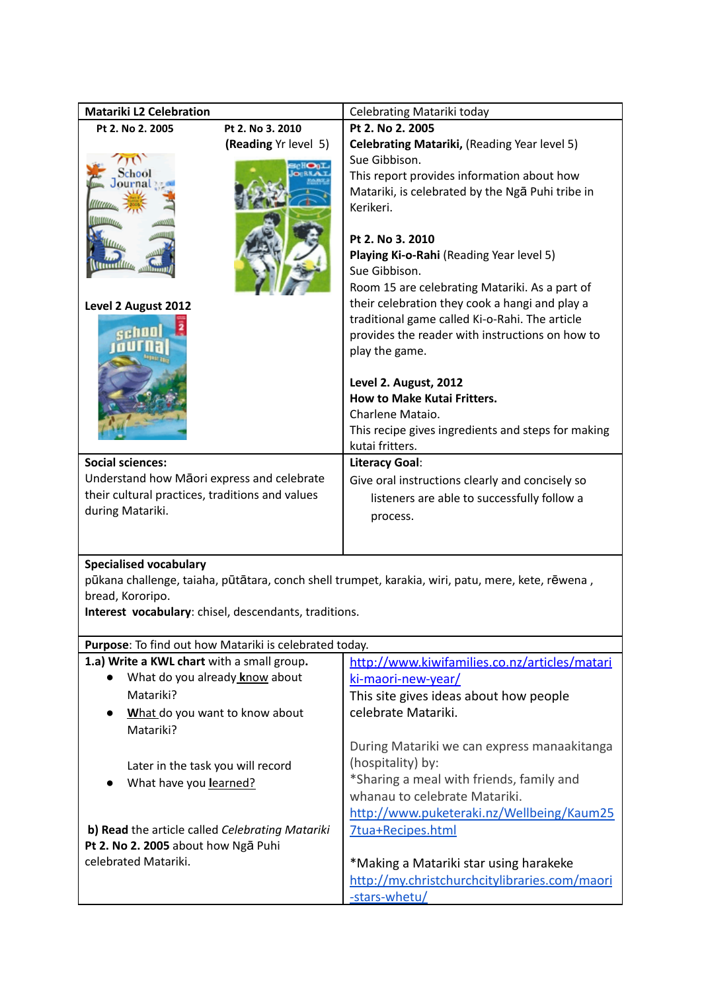| <b>Matariki L2 Celebration</b>                              |                                                        | Celebrating Matariki today                                                                        |  |
|-------------------------------------------------------------|--------------------------------------------------------|---------------------------------------------------------------------------------------------------|--|
| Pt 2. No 2. 2005                                            | Pt 2. No 3. 2010                                       | Pt 2. No 2. 2005                                                                                  |  |
|                                                             | (Reading Yr level 5)                                   | Celebrating Matariki, (Reading Year level 5)                                                      |  |
|                                                             |                                                        | Sue Gibbison.                                                                                     |  |
|                                                             |                                                        | This report provides information about how                                                        |  |
|                                                             |                                                        | Matariki, is celebrated by the Nga Puhi tribe in                                                  |  |
|                                                             |                                                        | Kerikeri.                                                                                         |  |
|                                                             |                                                        |                                                                                                   |  |
|                                                             |                                                        | Pt 2. No 3. 2010                                                                                  |  |
|                                                             |                                                        | Playing Ki-o-Rahi (Reading Year level 5)                                                          |  |
|                                                             |                                                        | Sue Gibbison.                                                                                     |  |
|                                                             |                                                        | Room 15 are celebrating Matariki. As a part of<br>their celebration they cook a hangi and play a  |  |
| Level 2 August 2012                                         |                                                        | traditional game called Ki-o-Rahi. The article                                                    |  |
|                                                             |                                                        | provides the reader with instructions on how to                                                   |  |
|                                                             |                                                        | play the game.                                                                                    |  |
|                                                             |                                                        |                                                                                                   |  |
|                                                             |                                                        | Level 2. August, 2012                                                                             |  |
|                                                             |                                                        | How to Make Kutai Fritters.                                                                       |  |
|                                                             |                                                        | Charlene Mataio.                                                                                  |  |
|                                                             |                                                        | This recipe gives ingredients and steps for making                                                |  |
|                                                             |                                                        | kutai fritters.                                                                                   |  |
| <b>Social sciences:</b>                                     |                                                        | <b>Literacy Goal:</b>                                                                             |  |
| Understand how Māori express and celebrate                  |                                                        | Give oral instructions clearly and concisely so                                                   |  |
| their cultural practices, traditions and values             |                                                        | listeners are able to successfully follow a                                                       |  |
| during Matariki.                                            |                                                        | process.                                                                                          |  |
|                                                             |                                                        |                                                                                                   |  |
| <b>Specialised vocabulary</b>                               |                                                        |                                                                                                   |  |
|                                                             |                                                        | pūkana challenge, taiaha, pūtātara, conch shell trumpet, karakia, wiri, patu, mere, kete, rēwena, |  |
| bread, Kororipo.                                            |                                                        |                                                                                                   |  |
|                                                             | Interest vocabulary: chisel, descendants, traditions.  |                                                                                                   |  |
|                                                             |                                                        |                                                                                                   |  |
|                                                             | Purpose: To find out how Matariki is celebrated today. |                                                                                                   |  |
| 1.a) Write a KWL chart with a small group.                  |                                                        | http://www.kiwifamilies.co.nz/articles/matari                                                     |  |
| What do you already know about                              |                                                        | ki-maori-new-year/                                                                                |  |
| Matariki?                                                   |                                                        | This site gives ideas about how people                                                            |  |
|                                                             | What do you want to know about                         | celebrate Matariki.                                                                               |  |
| Matariki?                                                   |                                                        |                                                                                                   |  |
|                                                             |                                                        | During Matariki we can express manaakitanga                                                       |  |
| Later in the task you will record<br>What have you learned? |                                                        | (hospitality) by:                                                                                 |  |
|                                                             |                                                        | *Sharing a meal with friends, family and                                                          |  |
|                                                             |                                                        | whanau to celebrate Matariki.                                                                     |  |
|                                                             |                                                        | http://www.puketeraki.nz/Wellbeing/Kaum25                                                         |  |
| b) Read the article called Celebrating Matariki             |                                                        | 7tua+Recipes.html                                                                                 |  |
| Pt 2. No 2. 2005 about how Nga Puhi<br>celebrated Matariki. |                                                        |                                                                                                   |  |
|                                                             |                                                        | *Making a Matariki star using harakeke                                                            |  |
|                                                             |                                                        | http://my.christchurchcitylibraries.com/maori                                                     |  |
|                                                             |                                                        | -stars-whetu/                                                                                     |  |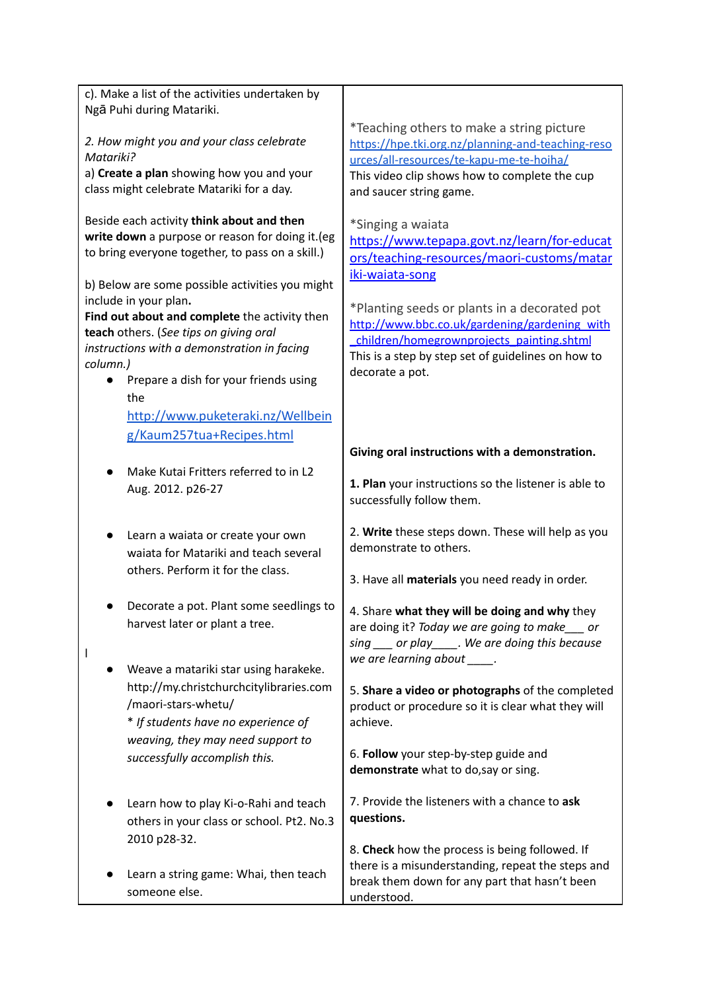| c). Make a list of the activities undertaken by                                                      |                                                                                                        |
|------------------------------------------------------------------------------------------------------|--------------------------------------------------------------------------------------------------------|
| Ngā Puhi during Matariki.                                                                            | *Teaching others to make a string picture                                                              |
| 2. How might you and your class celebrate                                                            | https://hpe.tki.org.nz/planning-and-teaching-reso                                                      |
| Matariki?                                                                                            | urces/all-resources/te-kapu-me-te-hoiha/                                                               |
| a) Create a plan showing how you and your<br>class might celebrate Matariki for a day.               | This video clip shows how to complete the cup                                                          |
|                                                                                                      | and saucer string game.                                                                                |
| Beside each activity think about and then                                                            | *Singing a waiata                                                                                      |
| write down a purpose or reason for doing it. (eg<br>to bring everyone together, to pass on a skill.) | https://www.tepapa.govt.nz/learn/for-educat                                                            |
|                                                                                                      | ors/teaching-resources/maori-customs/matar                                                             |
| b) Below are some possible activities you might                                                      | iki-waiata-song                                                                                        |
| include in your plan.                                                                                | *Planting seeds or plants in a decorated pot                                                           |
| Find out about and complete the activity then<br>teach others. (See tips on giving oral              | http://www.bbc.co.uk/gardening/gardening with                                                          |
| instructions with a demonstration in facing                                                          | children/homegrownprojects painting.shtml                                                              |
| column.)                                                                                             | This is a step by step set of guidelines on how to<br>decorate a pot.                                  |
| Prepare a dish for your friends using<br>the                                                         |                                                                                                        |
| http://www.puketeraki.nz/Wellbein                                                                    |                                                                                                        |
| g/Kaum257tua+Recipes.html                                                                            |                                                                                                        |
|                                                                                                      | Giving oral instructions with a demonstration.                                                         |
| Make Kutai Fritters referred to in L2                                                                |                                                                                                        |
| Aug. 2012. p26-27                                                                                    | 1. Plan your instructions so the listener is able to<br>successfully follow them.                      |
|                                                                                                      |                                                                                                        |
| Learn a waiata or create your own                                                                    | 2. Write these steps down. These will help as you                                                      |
| waiata for Matariki and teach several                                                                | demonstrate to others.                                                                                 |
| others. Perform it for the class.                                                                    | 3. Have all materials you need ready in order.                                                         |
|                                                                                                      |                                                                                                        |
| Decorate a pot. Plant some seedlings to<br>harvest later or plant a tree.                            | 4. Share what they will be doing and why they                                                          |
|                                                                                                      | are doing it? Today we are going to make__ or<br>sing __ or play_____. We are doing this because       |
|                                                                                                      | we are learning about _____.                                                                           |
| Weave a matariki star using harakeke.                                                                |                                                                                                        |
| http://my.christchurchcitylibraries.com<br>/maori-stars-whetu/                                       | 5. Share a video or photographs of the completed<br>product or procedure so it is clear what they will |
| * If students have no experience of                                                                  | achieve.                                                                                               |
| weaving, they may need support to                                                                    |                                                                                                        |
| successfully accomplish this.                                                                        | 6. Follow your step-by-step guide and                                                                  |
|                                                                                                      | demonstrate what to do, say or sing.                                                                   |
| Learn how to play Ki-o-Rahi and teach                                                                | 7. Provide the listeners with a chance to ask                                                          |
| others in your class or school. Pt2. No.3                                                            | questions.                                                                                             |
| 2010 p28-32.                                                                                         | 8. Check how the process is being followed. If                                                         |
|                                                                                                      | there is a misunderstanding, repeat the steps and                                                      |
| Learn a string game: Whai, then teach                                                                | break them down for any part that hasn't been                                                          |
| someone else.                                                                                        | understood.                                                                                            |